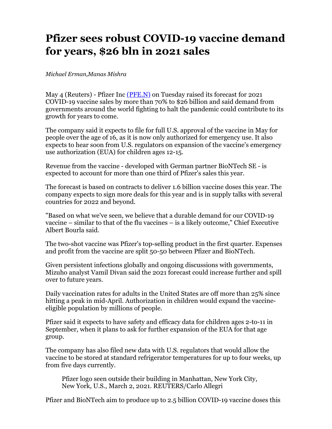## **Pfizer sees robust COVID-19 vaccine demand for years, \$26 bln in 2021 sales**

*Michael Erman,Manas Mishra*

May 4 (Reuters) - Pfizer Inc  $(PRE.N)$  on Tuesday raised its forecast for 2021 COVID-19 vaccine sales by more than 70% to \$26 billion and said demand from governments around the world fighting to halt the pandemic could contribute to its growth for years to come.

The company said it expects to file for full U.S. approval of the vaccine in May for people over the age of 16, as it is now only authorized for emergency use. It also expects to hear soon from U.S. regulators on expansion of the vaccine's emergency use authorization (EUA) for children ages 12-15.

Revenue from the vaccine - developed with German partner BioNTech SE - is expected to account for more than one third of Pfizer's sales this year.

The forecast is based on contracts to deliver 1.6 billion vaccine doses this year. The company expects to sign more deals for this year and is in supply talks with several countries for 2022 and beyond.

"Based on what we've seen, we believe that a durable demand for our COVID-19 vaccine – similar to that of the flu vaccines – is a likely outcome," Chief Executive Albert Bourla said.

The two-shot vaccine was Pfizer's top-selling product in the first quarter. Expenses and profit from the vaccine are split 50-50 between Pfizer and BioNTech.

Given persistent infections globally and ongoing discussions with governments, Mizuho analyst Vamil Divan said the 2021 forecast could increase further and spill over to future years.

Daily vaccination rates for adults in the United States are off more than 25% since hitting a peak in mid-April. Authorization in children would expand the vaccineeligible population by millions of people.

Pfizer said it expects to have safety and efficacy data for children ages 2-to-11 in September, when it plans to ask for further expansion of the EUA for that age group.

The company has also filed new data with U.S. regulators that would allow the vaccine to be stored at standard refrigerator temperatures for up to four weeks, up from five days currently.

Pfizer logo seen outside their building in Manhattan, New York City, New York, U.S., March 2, 2021. REUTERS/Carlo Allegri

Pfizer and BioNTech aim to produce up to 2.5 billion COVID-19 vaccine doses this